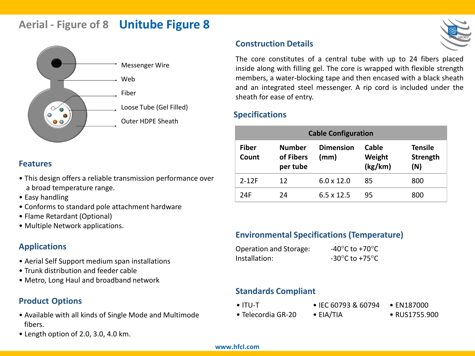# **Aerial - Figure of 8 Unitube Figure 8**



### **Features**

- This design offers a reliable transmission performance over a broad temperature range.
- Easy handling
- Conforms to standard pole attachment hardware
- Flame Retardant (Optional)
- Multiple Network applications.

# **Applications**

- Aerial Self Support medium span installations
- Trunk distribution and feeder cable
- Metro, Long Haul and broadband network

# **Product Options**

- Available with all kinds of Single Mode and Multimode fibers.
- Length option of 2.0, 3.0, 4.0 km.

# **Construction Details**



# **Specifications**

| <b>Cable Configuration</b> |                                        |                          |                            |                                          |  |  |  |
|----------------------------|----------------------------------------|--------------------------|----------------------------|------------------------------------------|--|--|--|
| <b>Fiber</b><br>Count      | <b>Number</b><br>of Fibers<br>per tube | <b>Dimension</b><br>(mm) | Cable<br>Weight<br>(kg/km) | <b>Tensile</b><br><b>Strength</b><br>(N) |  |  |  |
| $2-12F$                    | 12                                     | $6.0 \times 12.0$        | 85                         | 800                                      |  |  |  |
| 24F                        | 24                                     | $6.5 \times 12.5$        | 95                         | 800                                      |  |  |  |

# **Environmental Specifications (Temperature)**

| Operation and Storage: | -40 $\mathrm{^{\circ}C}$ to +70 $\mathrm{^{\circ}C}$ |
|------------------------|------------------------------------------------------|
| Installation:          | -30 $\mathrm{^{\circ}C}$ to +75 $\mathrm{^{\circ}C}$ |

# **Standards Compliant**

- ITU-T • IEC 60793 & 60794 • EIA/TIA • **EN187000**
- Telecordia GR-20

• RUS1755.900

#### **www.hfcl.com**